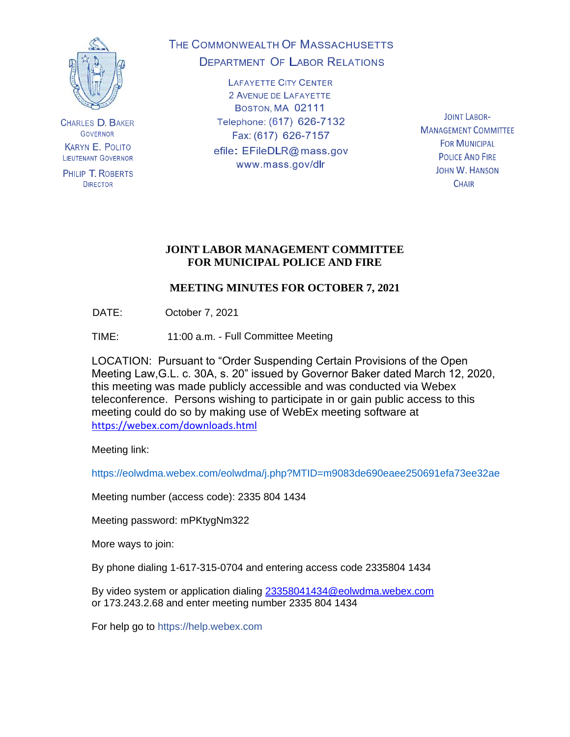

**CHARLES D. BAKER GOVERNOR KARYN E. POLITO LIEUTENANT GOVERNOR** 

PHILIP T. ROBERTS **DIRECTOR** 

# THE COMMONWEALTH OF MASSACHUSETTS **DEPARTMENT OF LABOR RELATIONS**

**LAFAYETTE CITY CENTER** 2 AVENUE DE LAFAYETTE BOSTON, MA 02111 Telephone: (617) 626-7132 Fax: (617) 626-7157 efile: EFileDLR@mass.gov www.mass.gov/dlr

**JOINT LABOR-MANAGEMENT COMMITTEE FOR MUNICIPAL POLICE AND FIRE JOHN W. HANSON CHAIR** 

### **JOINT LABOR MANAGEMENT COMMITTEE FOR MUNICIPAL POLICE AND FIRE**

# **MEETING MINUTES FOR OCTOBER 7, 2021**

DATE: October 7, 2021

TIME: 11:00 a.m. - Full Committee Meeting

LOCATION: Pursuant to "Order Suspending Certain Provisions of the Open Meeting Law,G.L. c. 30A, s. 20" issued by Governor Baker dated March 12, 2020, this meeting was made publicly accessible and was conducted via Webex teleconference. Persons wishing to participate in or gain public access to this meeting could do so by making use of WebEx meeting software at <https://webex.com/downloads.html>

Meeting link:

https://eolwdma.webex.com/eolwdma/j.php?MTID=m9083de690eaee250691efa73ee32ae

Meeting number (access code): 2335 804 1434

Meeting password: mPKtygNm322

More ways to join:

By phone dialing 1-617-315-0704 and entering access code 2335804 1434

By video system or application dialing [23358041434@eolwdma.webex.com](mailto:23358041434@eolwdma.webex.com) or 173.243.2.68 and enter meeting number 2335 804 1434

For help go to https://help.webex.com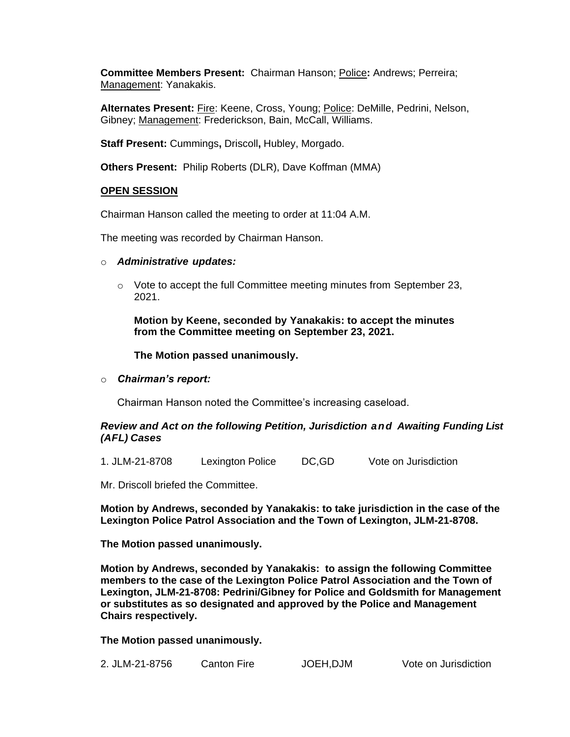**Committee Members Present:** Chairman Hanson; Police**:** Andrews; Perreira; Management: Yanakakis.

**Alternates Present:** Fire: Keene, Cross, Young; Police: DeMille, Pedrini, Nelson, Gibney; Management: Frederickson, Bain, McCall, Williams.

**Staff Present:** Cummings**,** Driscoll**,** Hubley, Morgado.

**Others Present:** Philip Roberts (DLR), Dave Koffman (MMA)

#### **OPEN SESSION**

Chairman Hanson called the meeting to order at 11:04 A.M.

The meeting was recorded by Chairman Hanson.

- o *Administrative updates:*
	- $\circ$  Vote to accept the full Committee meeting minutes from September 23, 2021.

**Motion by Keene, seconded by Yanakakis: to accept the minutes from the Committee meeting on September 23, 2021.**

**The Motion passed unanimously.**

o *Chairman's report:*

Chairman Hanson noted the Committee's increasing caseload.

#### *Review and Act on the following Petition, Jurisdiction and Awaiting Funding List (AFL) Cases*

1. JLM-21-8708 Lexington Police DC,GD Vote on Jurisdiction

Mr. Driscoll briefed the Committee.

**Motion by Andrews, seconded by Yanakakis: to take jurisdiction in the case of the Lexington Police Patrol Association and the Town of Lexington, JLM-21-8708.**

**The Motion passed unanimously.**

**Motion by Andrews, seconded by Yanakakis: to assign the following Committee members to the case of the Lexington Police Patrol Association and the Town of Lexington, JLM-21-8708: Pedrini/Gibney for Police and Goldsmith for Management or substitutes as so designated and approved by the Police and Management Chairs respectively.**

**The Motion passed unanimously.**

| 2. JLM-21-8756 | JOEH, DJM            |
|----------------|----------------------|
| Canton Fire    | Vote on Jurisdiction |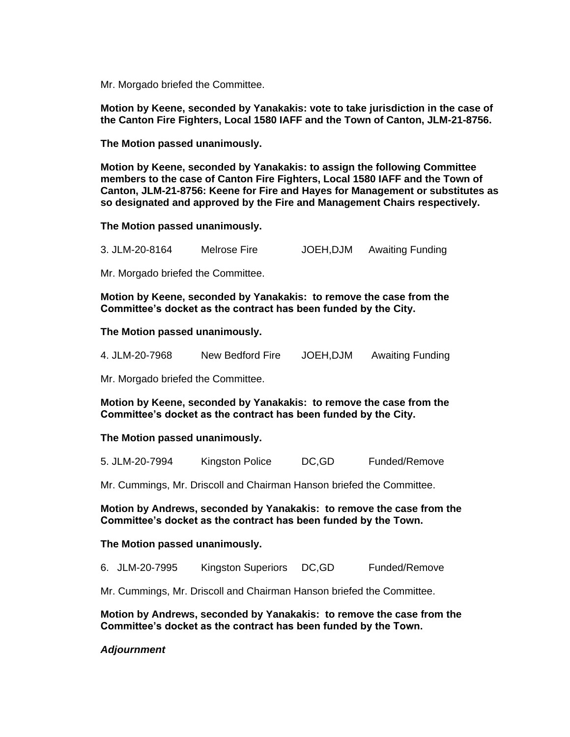Mr. Morgado briefed the Committee.

**Motion by Keene, seconded by Yanakakis: vote to take jurisdiction in the case of the Canton Fire Fighters, Local 1580 IAFF and the Town of Canton, JLM-21-8756.**

**The Motion passed unanimously.**

**Motion by Keene, seconded by Yanakakis: to assign the following Committee members to the case of Canton Fire Fighters, Local 1580 IAFF and the Town of Canton, JLM-21-8756: Keene for Fire and Hayes for Management or substitutes as so designated and approved by the Fire and Management Chairs respectively.**

**The Motion passed unanimously.**

3. JLM-20-8164 Melrose Fire JOEH,DJM Awaiting Funding

Mr. Morgado briefed the Committee.

**Motion by Keene, seconded by Yanakakis: to remove the case from the Committee's docket as the contract has been funded by the City.**

#### **The Motion passed unanimously.**

| JOEH, DJM<br>4. JLM-20-7968<br><b>Awaiting Funding</b><br>New Bedford Fire |  |  |
|----------------------------------------------------------------------------|--|--|
|----------------------------------------------------------------------------|--|--|

Mr. Morgado briefed the Committee.

**Motion by Keene, seconded by Yanakakis: to remove the case from the Committee's docket as the contract has been funded by the City.**

#### **The Motion passed unanimously.**

5. JLM-20-7994 Kingston Police DC,GD Funded/Remove

Mr. Cummings, Mr. Driscoll and Chairman Hanson briefed the Committee.

**Motion by Andrews, seconded by Yanakakis: to remove the case from the Committee's docket as the contract has been funded by the Town.**

#### **The Motion passed unanimously.**

- 6. JLM-20-7995 Kingston Superiors DC,GD Funded/Remove
- Mr. Cummings, Mr. Driscoll and Chairman Hanson briefed the Committee.

**Motion by Andrews, seconded by Yanakakis: to remove the case from the Committee's docket as the contract has been funded by the Town.**

#### *Adjournment*